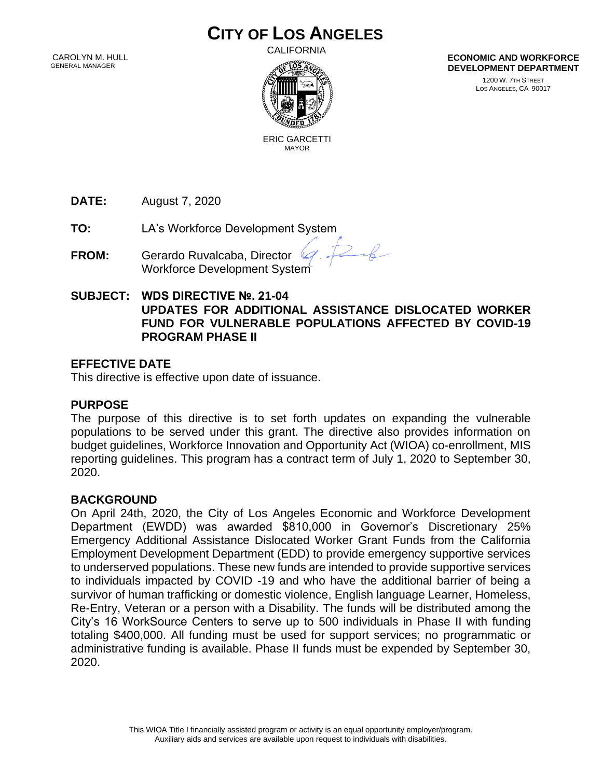# **CITY OF LOS ANGELES**

 CAROLYN M. HULL GENERAL MANAGER

CALIFORNIA



**ECONOMIC AND WORKFORCE DEVELOPMENT DEPARTMENT**

> 1200 W. 7TH STREET LOS ANGELES, CA 90017

 ERIC GARCETTI MAYOR

**DATE:** August 7, 2020

**TO:** LA's Workforce Development System

**FROM:** Gerardo Ruvalcaba, Director Workforce Development System

**SUBJECT: WDS DIRECTIVE №. 21-04 UPDATES FOR ADDITIONAL ASSISTANCE DISLOCATED WORKER FUND FOR VULNERABLE POPULATIONS AFFECTED BY COVID-19 PROGRAM PHASE II** 

 $26$ 

# **EFFECTIVE DATE**

This directive is effective upon date of issuance.

#### **PURPOSE**

The purpose of this directive is to set forth updates on expanding the vulnerable populations to be served under this grant. The directive also provides information on budget guidelines, Workforce Innovation and Opportunity Act (WIOA) co-enrollment, MIS reporting guidelines. This program has a contract term of July 1, 2020 to September 30, 2020.

#### **BACKGROUND**

On April 24th, 2020, the City of Los Angeles Economic and Workforce Development Department (EWDD) was awarded \$810,000 in Governor's Discretionary 25% Emergency Additional Assistance Dislocated Worker Grant Funds from the California Employment Development Department (EDD) to provide emergency supportive services to underserved populations. These new funds are intended to provide supportive services to individuals impacted by COVID -19 and who have the additional barrier of being a survivor of human trafficking or domestic violence, English language Learner, Homeless, Re-Entry, Veteran or a person with a Disability. The funds will be distributed among the City's 16 WorkSource Centers to serve up to 500 individuals in Phase II with funding totaling \$400,000. All funding must be used for support services; no programmatic or administrative funding is available. Phase II funds must be expended by September 30, 2020.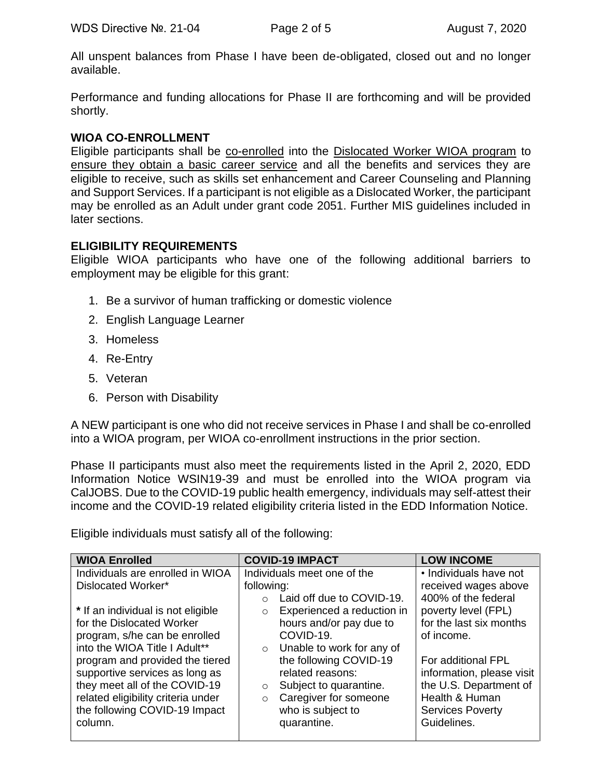All unspent balances from Phase I have been de-obligated, closed out and no longer available.

Performance and funding allocations for Phase II are forthcoming and will be provided shortly.

#### **WIOA CO-ENROLLMENT**

Eligible participants shall be co-enrolled into the Dislocated Worker WIOA program to ensure they obtain a basic career service and all the benefits and services they are eligible to receive, such as skills set enhancement and Career Counseling and Planning and Support Services. If a participant is not eligible as a Dislocated Worker, the participant may be enrolled as an Adult under grant code 2051. Further MIS guidelines included in later sections.

#### **ELIGIBILITY REQUIREMENTS**

Eligible WIOA participants who have one of the following additional barriers to employment may be eligible for this grant:

- 1. Be a survivor of human trafficking or domestic violence
- 2. English Language Learner
- 3. Homeless
- 4. Re-Entry
- 5. Veteran
- 6. Person with Disability

A NEW participant is one who did not receive services in Phase I and shall be co-enrolled into a WIOA program, per WIOA co-enrollment instructions in the prior section.

Phase II participants must also meet the requirements listed in the April 2, 2020, EDD Information Notice WSIN19-39 and must be enrolled into the WIOA program via CalJOBS. Due to the COVID-19 public health emergency, individuals may self-attest their income and the COVID-19 related eligibility criteria listed in the EDD Information Notice.

Eligible individuals must satisfy all of the following:

| <b>WIOA Enrolled</b>               | <b>COVID-19 IMPACT</b>                | <b>LOW INCOME</b>         |
|------------------------------------|---------------------------------------|---------------------------|
| Individuals are enrolled in WIOA   | Individuals meet one of the           | • Individuals have not    |
| Dislocated Worker*                 | following:                            | received wages above      |
|                                    | Laid off due to COVID-19.             | 400% of the federal       |
| * If an individual is not eligible | Experienced a reduction in<br>$\circ$ | poverty level (FPL)       |
| for the Dislocated Worker          | hours and/or pay due to               | for the last six months   |
| program, s/he can be enrolled      | COVID-19.                             | of income.                |
| into the WIOA Title I Adult**      | Unable to work for any of<br>$\circ$  |                           |
| program and provided the tiered    | the following COVID-19                | For additional FPL        |
| supportive services as long as     | related reasons:                      | information, please visit |
| they meet all of the COVID-19      | Subject to quarantine.<br>$\circ$     | the U.S. Department of    |
| related eligibility criteria under | Caregiver for someone<br>$\circ$      | Health & Human            |
| the following COVID-19 Impact      | who is subject to                     | <b>Services Poverty</b>   |
| column.                            | quarantine.                           | Guidelines.               |
|                                    |                                       |                           |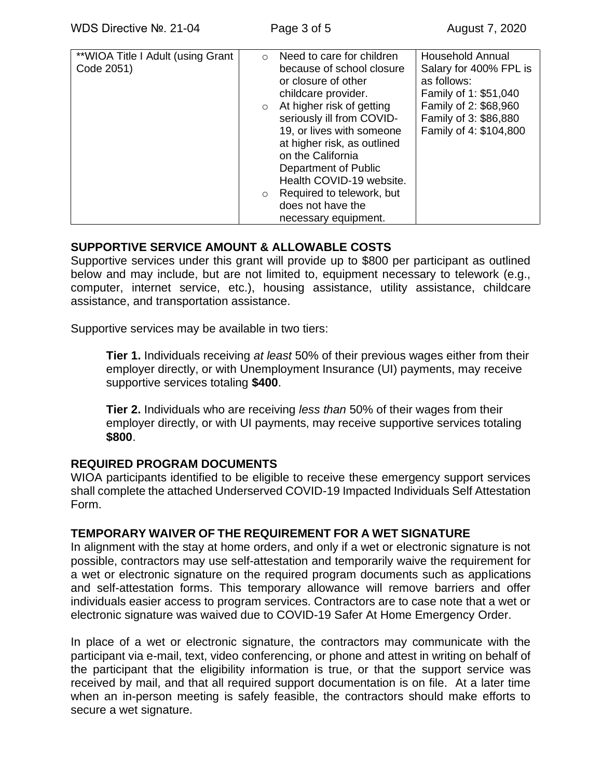# **SUPPORTIVE SERVICE AMOUNT & ALLOWABLE COSTS**

Supportive services under this grant will provide up to \$800 per participant as outlined below and may include, but are not limited to, equipment necessary to telework (e.g., computer, internet service, etc.), housing assistance, utility assistance, childcare assistance, and transportation assistance.

Supportive services may be available in two tiers:

**Tier 1.** Individuals receiving *at least* 50% of their previous wages either from their employer directly, or with Unemployment Insurance (UI) payments, may receive supportive services totaling **\$400**.

**Tier 2.** Individuals who are receiving *less than* 50% of their wages from their employer directly, or with UI payments, may receive supportive services totaling **\$800**.

#### **REQUIRED PROGRAM DOCUMENTS**

WIOA participants identified to be eligible to receive these emergency support services shall complete the attached Underserved COVID-19 Impacted Individuals Self Attestation Form.

#### **TEMPORARY WAIVER OF THE REQUIREMENT FOR A WET SIGNATURE**

In alignment with the stay at home orders, and only if a wet or electronic signature is not possible, contractors may use self-attestation and temporarily waive the requirement for a wet or electronic signature on the required program documents such as applications and self-attestation forms. This temporary allowance will remove barriers and offer individuals easier access to program services. Contractors are to case note that a wet or electronic signature was waived due to COVID-19 Safer At Home Emergency Order.

In place of a wet or electronic signature, the contractors may communicate with the participant via e-mail, text, video conferencing, or phone and attest in writing on behalf of the participant that the eligibility information is true, or that the support service was received by mail, and that all required support documentation is on file. At a later time when an in-person meeting is safely feasible, the contractors should make efforts to secure a wet signature.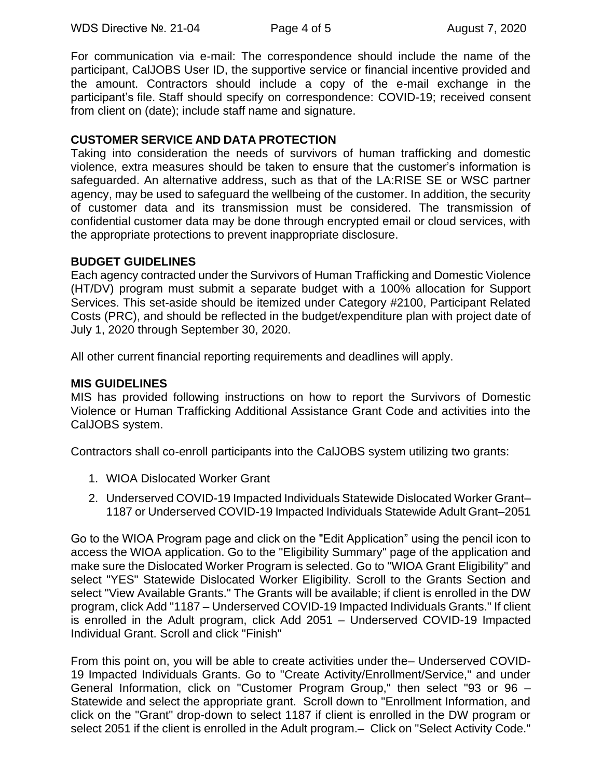For communication via e-mail: The correspondence should include the name of the participant, CalJOBS User ID, the supportive service or financial incentive provided and the amount. Contractors should include a copy of the e-mail exchange in the participant's file. Staff should specify on correspondence: COVID-19; received consent from client on (date); include staff name and signature.

## **CUSTOMER SERVICE AND DATA PROTECTION**

Taking into consideration the needs of survivors of human trafficking and domestic violence, extra measures should be taken to ensure that the customer's information is safeguarded. An alternative address, such as that of the LA:RISE SE or WSC partner agency, may be used to safeguard the wellbeing of the customer. In addition, the security of customer data and its transmission must be considered. The transmission of confidential customer data may be done through encrypted email or cloud services, with the appropriate protections to prevent inappropriate disclosure.

#### **BUDGET GUIDELINES**

Each agency contracted under the Survivors of Human Trafficking and Domestic Violence (HT/DV) program must submit a separate budget with a 100% allocation for Support Services. This set-aside should be itemized under Category #2100, Participant Related Costs (PRC), and should be reflected in the budget/expenditure plan with project date of July 1, 2020 through September 30, 2020.

All other current financial reporting requirements and deadlines will apply.

#### **MIS GUIDELINES**

MIS has provided following instructions on how to report the Survivors of Domestic Violence or Human Trafficking Additional Assistance Grant Code and activities into the CalJOBS system.

Contractors shall co-enroll participants into the CalJOBS system utilizing two grants:

- 1. WIOA Dislocated Worker Grant
- 2. Underserved COVID-19 Impacted Individuals Statewide Dislocated Worker Grant– 1187 or Underserved COVID-19 Impacted Individuals Statewide Adult Grant–2051

Go to the WIOA Program page and click on the "Edit Application" using the pencil icon to access the WIOA application. Go to the "Eligibility Summary" page of the application and make sure the Dislocated Worker Program is selected. Go to "WIOA Grant Eligibility" and select "YES" Statewide Dislocated Worker Eligibility. Scroll to the Grants Section and select "View Available Grants." The Grants will be available; if client is enrolled in the DW program, click Add "1187 – Underserved COVID-19 Impacted Individuals Grants." If client is enrolled in the Adult program, click Add 2051 – Underserved COVID-19 Impacted Individual Grant. Scroll and click "Finish"

From this point on, you will be able to create activities under the– Underserved COVID-19 Impacted Individuals Grants. Go to "Create Activity/Enrollment/Service," and under General Information, click on "Customer Program Group," then select "93 or 96 – Statewide and select the appropriate grant. Scroll down to "Enrollment Information, and click on the "Grant" drop-down to select 1187 if client is enrolled in the DW program or select 2051 if the client is enrolled in the Adult program. – Click on "Select Activity Code."